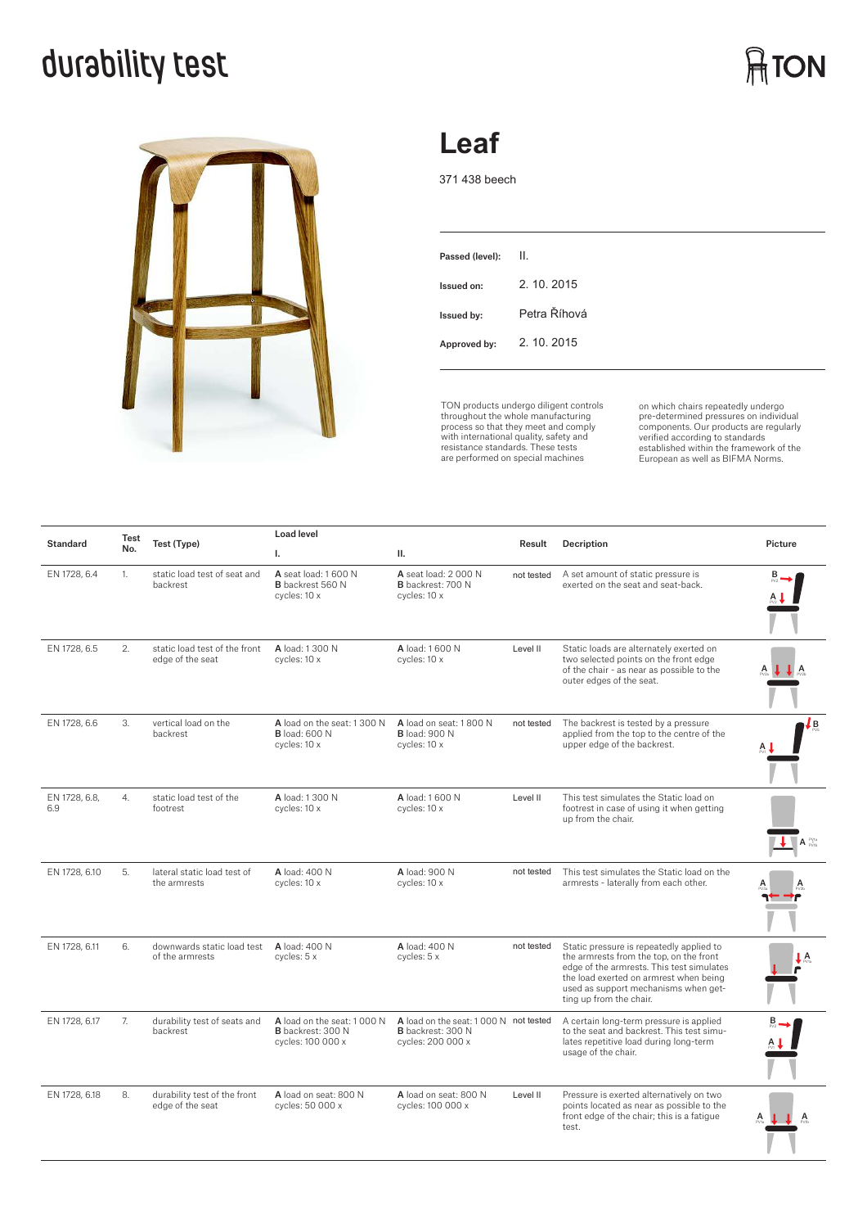## **durability test**



### **Leaf**

371 438 beech

| Passed (level): | II.          |
|-----------------|--------------|
| Issued on:      | 2. 10. 2015  |
| Issued by:      | Petra Říhová |
| Approved by:    | 2. 10. 2015  |
|                 |              |

TON products undergo diligent controls throughout the whole manufacturing process so that they meet and comply with international quality, safety and resistance standards. These tests are performed on special machines

on which chairs repeatedly undergo<br>pre-determined pressures on individual<br>components. Our products are regularly<br>verified according to standards<br>European as well as BIFMA Norms.

| <b>Standard</b>      | Test<br>No. | Test (Type)                                       | <b>Load level</b>                                                    |                                                                                 |            |                                                                                                                                                                                                                                               |         |
|----------------------|-------------|---------------------------------------------------|----------------------------------------------------------------------|---------------------------------------------------------------------------------|------------|-----------------------------------------------------------------------------------------------------------------------------------------------------------------------------------------------------------------------------------------------|---------|
|                      |             |                                                   | I.                                                                   | Ш.                                                                              | Result     | Decription                                                                                                                                                                                                                                    | Picture |
| EN 1728, 6.4         | 1.          | static load test of seat and<br>backrest          | A seat load: 1 600 N<br><b>B</b> backrest 560 N<br>cycles: 10 x      | A seat load: 2 000 N<br>B backrest: 700 N<br>cycles: 10 x                       | not tested | A set amount of static pressure is<br>exerted on the seat and seat-back.                                                                                                                                                                      |         |
| EN 1728, 6.5         | 2.          | static load test of the front<br>edge of the seat | A load: 1.300 N<br>cycles: 10 x                                      | A load: 1 600 N<br>cycles: 10 x                                                 | Level II   | Static loads are alternately exerted on<br>two selected points on the front edge<br>of the chair - as near as possible to the<br>outer edges of the seat.                                                                                     |         |
| EN 1728, 6.6         | 3.          | vertical load on the<br>backrest                  | A load on the seat: 1300 N<br><b>B</b> load: 600 N<br>cycles: 10 x   | A load on seat: 1800 N<br><b>B</b> load: 900 N<br>cycles: 10 x                  | not tested | The backrest is tested by a pressure<br>applied from the top to the centre of the<br>upper edge of the backrest.                                                                                                                              | Ļв      |
| EN 1728, 6.8,<br>6.9 | 4.          | static load test of the<br>footrest               | A load: 1 300 N<br>cycles: 10 x                                      | A load: 1 600 N<br>cycles: 10 x                                                 | Level II   | This test simulates the Static load on<br>footrest in case of using it when getting<br>up from the chair.                                                                                                                                     | A PVIA  |
| EN 1728, 6.10        | 5.          | lateral static load test of<br>the armrests       | A load: 400 N<br>cycles: 10 x                                        | A load: 900 N<br>cycles: 10 x                                                   | not tested | This test simulates the Static load on the<br>armrests - laterally from each other.                                                                                                                                                           |         |
| EN 1728, 6.11        | 6.          | downwards static load test<br>of the armrests     | A load: 400 N<br>cycles: 5 x                                         | A load: 400 N<br>cycles: 5 x                                                    | not tested | Static pressure is repeatedly applied to<br>the armrests from the top, on the front<br>edge of the armrests. This test simulates<br>the load exerted on armrest when being<br>used as support mechanisms when get-<br>ting up from the chair. | A       |
| EN 1728, 6.17        | 7.          | durability test of seats and<br>backrest          | A load on the seat: 1000 N<br>B backrest: 300 N<br>cycles: 100 000 x | A load on the seat: 1000 N not tested<br>B backrest: 300 N<br>cycles: 200 000 x |            | A certain long-term pressure is applied<br>to the seat and backrest. This test simu-<br>lates repetitive load during long-term<br>usage of the chair.                                                                                         |         |
| EN 1728, 6.18        | 8.          | durability test of the front<br>edge of the seat  | A load on seat: 800 N<br>cycles: 50 000 x                            | A load on seat: 800 N<br>cycles: 100 000 x                                      | Level II   | Pressure is exerted alternatively on two<br>points located as near as possible to the<br>front edge of the chair; this is a fatique<br>test.                                                                                                  | A       |